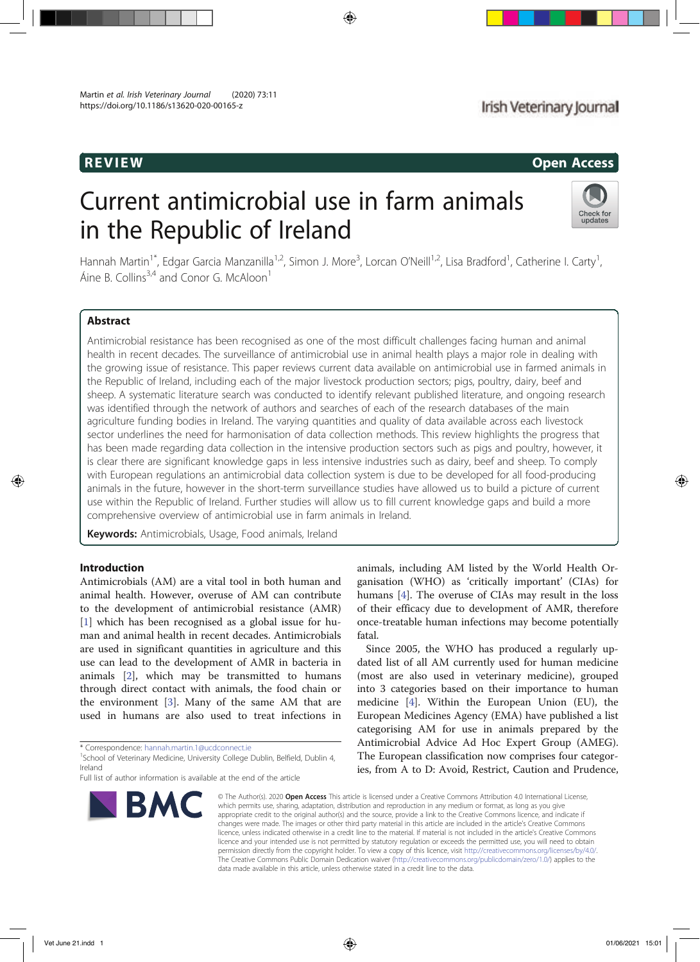# REVIEW CONTROL CONTROL CONTROL CONTROL CONTROL CONTROL CONTROL CONTROL CONTROL CONTROL CONTROL CONTROL CONTROL CONTROL CONTROL CONTROL CONTROL CONTROL CONTROL CONTROL CONTROL CONTROL CONTROL CONTROL CONTROL CONTROL CONTROL

# Current antimicrobial use in farm animals in the Republic of Ireland



Hannah Martin<sup>1\*</sup>, Edgar Garcia Manzanilla<sup>1,2</sup>, Simon J. More<sup>3</sup>, Lorcan O'Neill<sup>1,2</sup>, Lisa Bradford<sup>1</sup>, Catherine I. Carty<sup>1</sup> , Áine B. Collins<sup>3,4</sup> and Conor G. McAloon<sup>1</sup>

# Abstract

Antimicrobial resistance has been recognised as one of the most difficult challenges facing human and animal health in recent decades. The surveillance of antimicrobial use in animal health plays a major role in dealing with the growing issue of resistance. This paper reviews current data available on antimicrobial use in farmed animals in the Republic of Ireland, including each of the major livestock production sectors; pigs, poultry, dairy, beef and sheep. A systematic literature search was conducted to identify relevant published literature, and ongoing research was identified through the network of authors and searches of each of the research databases of the main agriculture funding bodies in Ireland. The varying quantities and quality of data available across each livestock sector underlines the need for harmonisation of data collection methods. This review highlights the progress that has been made regarding data collection in the intensive production sectors such as pigs and poultry, however, it is clear there are significant knowledge gaps in less intensive industries such as dairy, beef and sheep. To comply with European regulations an antimicrobial data collection system is due to be developed for all food-producing animals in the future, however in the short-term surveillance studies have allowed us to build a picture of current use within the Republic of Ireland. Further studies will allow us to fill current knowledge gaps and build a more comprehensive overview of antimicrobial use in farm animals in Ireland.

Keywords: Antimicrobials, Usage, Food animals, Ireland

# Introduction

Antimicrobials (AM) are a vital tool in both human and animal health. However, overuse of AM can contribute to the development of antimicrobial resistance (AMR) [1] which has been recognised as a global issue for human and animal health in recent decades. Antimicrobials are used in significant quantities in agriculture and this use can lead to the development of AMR in bacteria in animals [2], which may be transmitted to humans through direct contact with animals, the food chain or the environment [3]. Many of the same AM that are used in humans are also used to treat infections in

Full list of author information is available at the end of the article



animals, including AM listed by the World Health Organisation (WHO) as 'critically important' (CIAs) for humans [4]. The overuse of CIAs may result in the loss of their efficacy due to development of AMR, therefore once-treatable human infections may become potentially fatal.

Since 2005, the WHO has produced a regularly updated list of all AM currently used for human medicine (most are also used in veterinary medicine), grouped into 3 categories based on their importance to human medicine [4]. Within the European Union (EU), the European Medicines Agency (EMA) have published a list categorising AM for use in animals prepared by the Antimicrobial Advice Ad Hoc Expert Group (AMEG). The European classification now comprises four categories, from A to D: Avoid, Restrict, Caution and Prudence,

© The Author(s), 2020 **Open Access** This article is licensed under a Creative Commons Attribution 4.0 International License, which permits use, sharing, adaptation, distribution and reproduction in any medium or format, as long as you give appropriate credit to the original author(s) and the source, provide a link to the Creative Commons licence, and indicate if changes were made. The images or other third party material in this article are included in the article's Creative Commons licence, unless indicated otherwise in a credit line to the material. If material is not included in the article's Creative Commons licence and your intended use is not permitted by statutory regulation or exceeds the permitted use, you will need to obtain permission directly from the copyright holder. To view a copy of this licence, visit http://creativecommons.org/licenses/by/4.0/. The Creative Commons Public Domain Dedication waiver (http://creativecommons.org/publicdomain/zero/1.0/) applies to the data made available in this article, unless otherwise stated in a credit line to the data.

<sup>\*</sup> Correspondence: hannah.martin.1@ucdconnect.ie <sup>1</sup>

<sup>&</sup>lt;sup>1</sup>School of Veterinary Medicine, University College Dublin, Belfield, Dublin 4, Ireland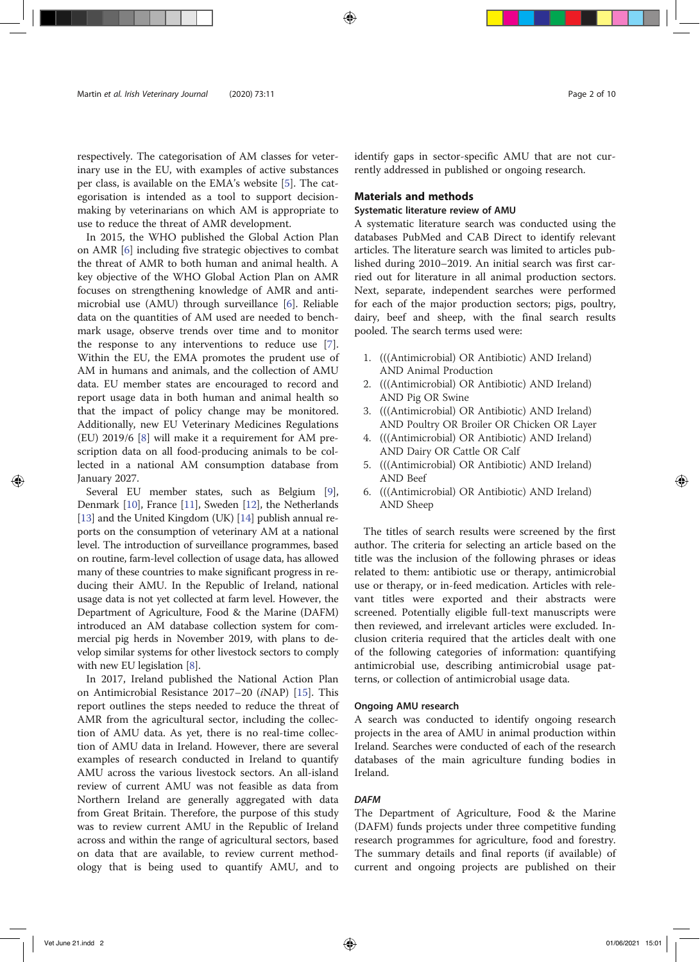respectively. The categorisation of AM classes for veterinary use in the EU, with examples of active substances per class, is available on the EMA's website [5]. The categorisation is intended as a tool to support decisionmaking by veterinarians on which AM is appropriate to use to reduce the threat of AMR development.

In 2015, the WHO published the Global Action Plan on AMR [6] including five strategic objectives to combat the threat of AMR to both human and animal health. A key objective of the WHO Global Action Plan on AMR focuses on strengthening knowledge of AMR and antimicrobial use (AMU) through surveillance [6]. Reliable data on the quantities of AM used are needed to benchmark usage, observe trends over time and to monitor the response to any interventions to reduce use [7]. Within the EU, the EMA promotes the prudent use of AM in humans and animals, and the collection of AMU data. EU member states are encouraged to record and report usage data in both human and animal health so that the impact of policy change may be monitored. Additionally, new EU Veterinary Medicines Regulations (EU) 2019/6 [8] will make it a requirement for AM prescription data on all food-producing animals to be collected in a national AM consumption database from January 2027.

Several EU member states, such as Belgium [9], Denmark [10], France [11], Sweden [12], the Netherlands [13] and the United Kingdom (UK) [14] publish annual reports on the consumption of veterinary AM at a national level. The introduction of surveillance programmes, based on routine, farm-level collection of usage data, has allowed many of these countries to make significant progress in reducing their AMU. In the Republic of Ireland, national usage data is not yet collected at farm level. However, the Department of Agriculture, Food & the Marine (DAFM) introduced an AM database collection system for commercial pig herds in November 2019, with plans to develop similar systems for other livestock sectors to comply with new EU legislation [8].

In 2017, Ireland published the National Action Plan on Antimicrobial Resistance 2017–20 (iNAP) [15]. This report outlines the steps needed to reduce the threat of AMR from the agricultural sector, including the collection of AMU data. As yet, there is no real-time collection of AMU data in Ireland. However, there are several examples of research conducted in Ireland to quantify AMU across the various livestock sectors. An all-island review of current AMU was not feasible as data from Northern Ireland are generally aggregated with data from Great Britain. Therefore, the purpose of this study was to review current AMU in the Republic of Ireland across and within the range of agricultural sectors, based on data that are available, to review current methodology that is being used to quantify AMU, and to identify gaps in sector-specific AMU that are not currently addressed in published or ongoing research.

### Materials and methods

#### Systematic literature review of AMU

A systematic literature search was conducted using the databases PubMed and CAB Direct to identify relevant articles. The literature search was limited to articles published during 2010–2019. An initial search was first carried out for literature in all animal production sectors. Next, separate, independent searches were performed for each of the major production sectors; pigs, poultry, dairy, beef and sheep, with the final search results pooled. The search terms used were:

- 1. (((Antimicrobial) OR Antibiotic) AND Ireland) AND Animal Production
- 2. (((Antimicrobial) OR Antibiotic) AND Ireland) AND Pig OR Swine
- 3. (((Antimicrobial) OR Antibiotic) AND Ireland) AND Poultry OR Broiler OR Chicken OR Layer
- 4. (((Antimicrobial) OR Antibiotic) AND Ireland) AND Dairy OR Cattle OR Calf
- 5. (((Antimicrobial) OR Antibiotic) AND Ireland) AND Beef
- 6. (((Antimicrobial) OR Antibiotic) AND Ireland) AND Sheep

The titles of search results were screened by the first author. The criteria for selecting an article based on the title was the inclusion of the following phrases or ideas related to them: antibiotic use or therapy, antimicrobial use or therapy, or in-feed medication. Articles with relevant titles were exported and their abstracts were screened. Potentially eligible full-text manuscripts were then reviewed, and irrelevant articles were excluded. Inclusion criteria required that the articles dealt with one of the following categories of information: quantifying antimicrobial use, describing antimicrobial usage patterns, or collection of antimicrobial usage data.

#### Ongoing AMU research

A search was conducted to identify ongoing research projects in the area of AMU in animal production within Ireland. Searches were conducted of each of the research databases of the main agriculture funding bodies in Ireland.

#### **DAFM**

The Department of Agriculture, Food & the Marine (DAFM) funds projects under three competitive funding research programmes for agriculture, food and forestry. The summary details and final reports (if available) of current and ongoing projects are published on their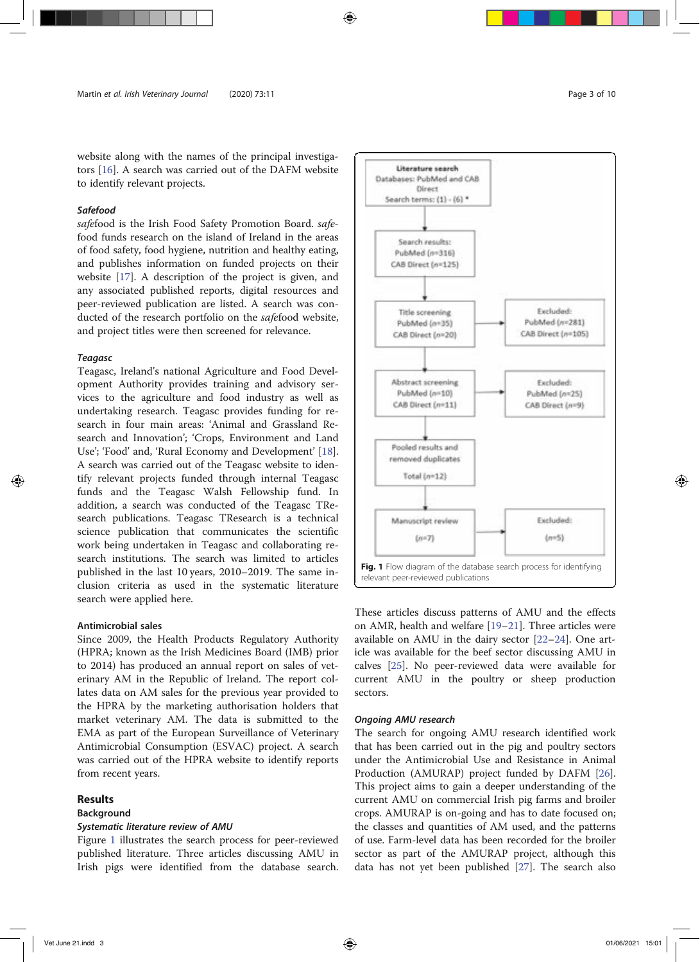website along with the names of the principal investigators [16]. A search was carried out of the DAFM website to identify relevant projects.

#### Safefood

safefood is the Irish Food Safety Promotion Board. safefood funds research on the island of Ireland in the areas of food safety, food hygiene, nutrition and healthy eating, and publishes information on funded projects on their website [17]. A description of the project is given, and any associated published reports, digital resources and peer-reviewed publication are listed. A search was conducted of the research portfolio on the safefood website, and project titles were then screened for relevance.

### Teagasc

Teagasc, Ireland's national Agriculture and Food Development Authority provides training and advisory services to the agriculture and food industry as well as undertaking research. Teagasc provides funding for research in four main areas: 'Animal and Grassland Research and Innovation'; 'Crops, Environment and Land Use'; 'Food' and, 'Rural Economy and Development' [18]. A search was carried out of the Teagasc website to identify relevant projects funded through internal Teagasc funds and the Teagasc Walsh Fellowship fund. In addition, a search was conducted of the Teagasc TResearch publications. Teagasc TResearch is a technical science publication that communicates the scientific work being undertaken in Teagasc and collaborating research institutions. The search was limited to articles published in the last 10 years, 2010–2019. The same inclusion criteria as used in the systematic literature search were applied here.

#### Antimicrobial sales

Since 2009, the Health Products Regulatory Authority (HPRA; known as the Irish Medicines Board (IMB) prior to 2014) has produced an annual report on sales of veterinary AM in the Republic of Ireland. The report collates data on AM sales for the previous year provided to the HPRA by the marketing authorisation holders that market veterinary AM. The data is submitted to the EMA as part of the European Surveillance of Veterinary Antimicrobial Consumption (ESVAC) project. A search was carried out of the HPRA website to identify reports from recent years.

# **Results**

#### Background

#### Systematic literature review of AMU

Figure 1 illustrates the search process for peer-reviewed published literature. Three articles discussing AMU in Irish pigs were identified from the database search.



These articles discuss patterns of AMU and the effects on AMR, health and welfare [19–21]. Three articles were available on AMU in the dairy sector [22–24]. One article was available for the beef sector discussing AMU in calves [25]. No peer-reviewed data were available for current AMU in the poultry or sheep production sectors.

#### Ongoing AMU research

The search for ongoing AMU research identified work that has been carried out in the pig and poultry sectors under the Antimicrobial Use and Resistance in Animal Production (AMURAP) project funded by DAFM [26]. This project aims to gain a deeper understanding of the current AMU on commercial Irish pig farms and broiler crops. AMURAP is on-going and has to date focused on; the classes and quantities of AM used, and the patterns of use. Farm-level data has been recorded for the broiler sector as part of the AMURAP project, although this data has not yet been published [27]. The search also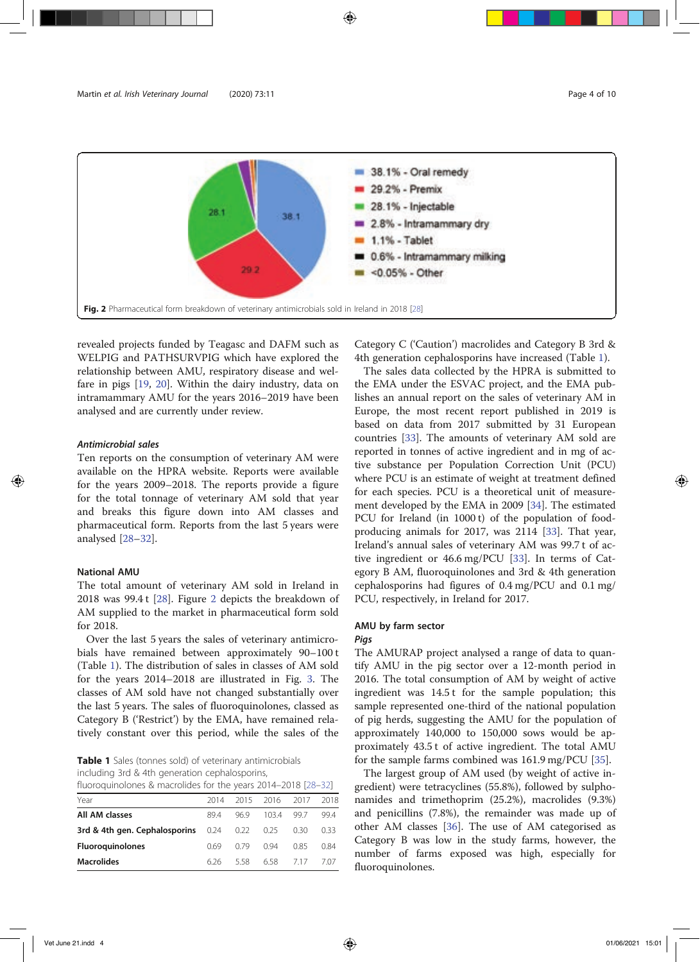

revealed projects funded by Teagasc and DAFM such as WELPIG and PATHSURVPIG which have explored the relationship between AMU, respiratory disease and welfare in pigs [19, 20]. Within the dairy industry, data on intramammary AMU for the years 2016–2019 have been analysed and are currently under review.

#### Antimicrobial sales

Ten reports on the consumption of veterinary AM were available on the HPRA website. Reports were available for the years 2009–2018. The reports provide a figure for the total tonnage of veterinary AM sold that year and breaks this figure down into AM classes and pharmaceutical form. Reports from the last 5 years were analysed [28–32].

# National AMU

The total amount of veterinary AM sold in Ireland in 2018 was 99.4 t [28]. Figure 2 depicts the breakdown of AM supplied to the market in pharmaceutical form sold for 2018.

Over the last 5 years the sales of veterinary antimicrobials have remained between approximately 90–100 t (Table 1). The distribution of sales in classes of AM sold for the years 2014–2018 are illustrated in Fig. 3. The classes of AM sold have not changed substantially over the last 5 years. The sales of fluoroquinolones, classed as Category B ('Restrict') by the EMA, have remained relatively constant over this period, while the sales of the

Table 1 Sales (tonnes sold) of veterinary antimicrobials including 3rd & 4th generation cephalosporins, fluoroquinolones & macrolides for the years 2014–2018 [28–32]

| $1100100$ and $1010100$ and $1110010$ and $10101010$ and $10101000$ and $1010000$ and $1010000$ |     |      |                     |      |      |
|-------------------------------------------------------------------------------------------------|-----|------|---------------------|------|------|
| Year                                                                                            |     |      | 2014 2015 2016 2017 |      | 2018 |
| All AM classes                                                                                  | 894 | 969  | 103.4               | 997  | 994  |
| <b>3rd &amp; 4th gen. Cephalosporins</b> $0.24$ $0.22$ $0.25$                                   |     |      |                     | 0.30 | 0.33 |
| <b>Fluoroguinolones</b>                                                                         | 069 | 0.79 | O 94                | 0.85 | 0.84 |
| <b>Macrolides</b>                                                                               | 626 | 558  | 658 717             |      | 7.07 |

Category C ('Caution') macrolides and Category B 3rd & 4th generation cephalosporins have increased (Table 1).

The sales data collected by the HPRA is submitted to the EMA under the ESVAC project, and the EMA publishes an annual report on the sales of veterinary AM in Europe, the most recent report published in 2019 is based on data from 2017 submitted by 31 European countries [33]. The amounts of veterinary AM sold are reported in tonnes of active ingredient and in mg of active substance per Population Correction Unit (PCU) where PCU is an estimate of weight at treatment defined for each species. PCU is a theoretical unit of measurement developed by the EMA in 2009 [34]. The estimated PCU for Ireland (in 1000 t) of the population of foodproducing animals for 2017, was 2114 [33]. That year, Ireland's annual sales of veterinary AM was 99.7 t of active ingredient or 46.6 mg/PCU [33]. In terms of Category B AM, fluoroquinolones and 3rd & 4th generation cephalosporins had figures of 0.4 mg/PCU and 0.1 mg/ PCU, respectively, in Ireland for 2017.

# AMU by farm sector

# Pigs

The AMURAP project analysed a range of data to quantify AMU in the pig sector over a 12-month period in 2016. The total consumption of AM by weight of active ingredient was 14.5 t for the sample population; this sample represented one-third of the national population of pig herds, suggesting the AMU for the population of approximately 140,000 to 150,000 sows would be approximately 43.5 t of active ingredient. The total AMU for the sample farms combined was 161.9 mg/PCU [35].

The largest group of AM used (by weight of active ingredient) were tetracyclines (55.8%), followed by sulphonamides and trimethoprim (25.2%), macrolides (9.3%) and penicillins (7.8%), the remainder was made up of other AM classes [36]. The use of AM categorised as Category B was low in the study farms, however, the number of farms exposed was high, especially for fluoroquinolones.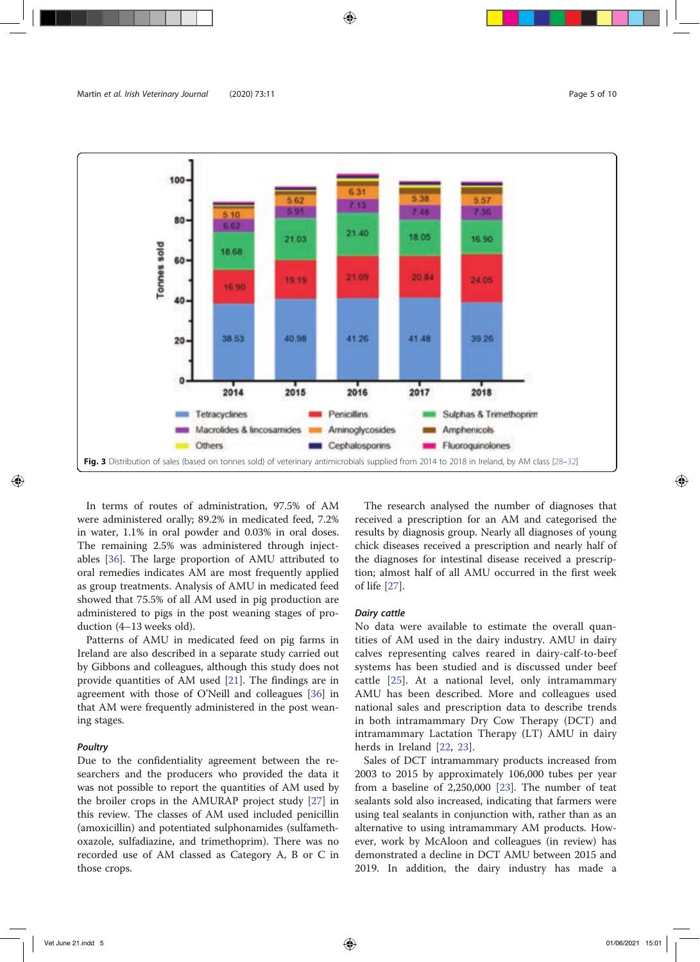

In terms of routes of administration, 97.5% of AM were administered orally; 89.2% in medicated feed, 7.2% in water, 1.1% in oral powder and 0.03% in oral doses. The remaining 2.5% was administered through injectables [36]. The large proportion of AMU attributed to oral remedies indicates AM are most frequently applied as group treatments. Analysis of AMU in medicated feed showed that 75.5% of all AM used in pig production are administered to pigs in the post weaning stages of production (4–13 weeks old).

Patterns of AMU in medicated feed on pig farms in Ireland are also described in a separate study carried out by Gibbons and colleagues, although this study does not provide quantities of AM used [21]. The findings are in agreement with those of O'Neill and colleagues [36] in that AM were frequently administered in the post weaning stages.

#### Poultry

Due to the confidentiality agreement between the researchers and the producers who provided the data it was not possible to report the quantities of AM used by the broiler crops in the AMURAP project study [27] in this review. The classes of AM used included penicillin (amoxicillin) and potentiated sulphonamides (sulfamethoxazole, sulfadiazine, and trimethoprim). There was no recorded use of AM classed as Category A, B or C in those crops.

The research analysed the number of diagnoses that received a prescription for an AM and categorised the results by diagnosis group. Nearly all diagnoses of young chick diseases received a prescription and nearly half of the diagnoses for intestinal disease received a prescription; almost half of all AMU occurred in the first week of life [27].

#### Dairy cattle

No data were available to estimate the overall quantities of AM used in the dairy industry. AMU in dairy calves representing calves reared in dairy-calf-to-beef systems has been studied and is discussed under beef cattle [25]. At a national level, only intramammary AMU has been described. More and colleagues used national sales and prescription data to describe trends in both intramammary Dry Cow Therapy (DCT) and intramammary Lactation Therapy (LT) AMU in dairy herds in Ireland [22, 23].

Sales of DCT intramammary products increased from 2003 to 2015 by approximately 106,000 tubes per year from a baseline of 2,250,000 [23]. The number of teat sealants sold also increased, indicating that farmers were using teal sealants in conjunction with, rather than as an alternative to using intramammary AM products. However, work by McAloon and colleagues (in review) has demonstrated a decline in DCT AMU between 2015 and 2019. In addition, the dairy industry has made a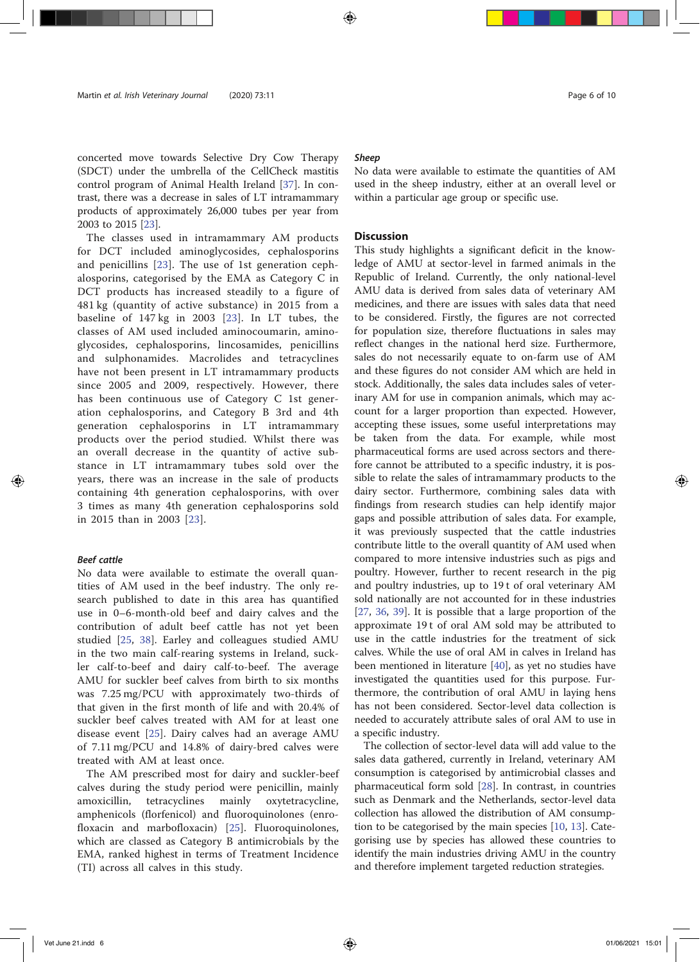# concerted move towards Selective Dry Cow Therapy (SDCT) under the umbrella of the CellCheck mastitis control program of Animal Health Ireland [37]. In contrast, there was a decrease in sales of LT intramammary products of approximately 26,000 tubes per year from 2003 to 2015 [23].

The classes used in intramammary AM products for DCT included aminoglycosides, cephalosporins and penicillins [23]. The use of 1st generation cephalosporins, categorised by the EMA as Category C in DCT products has increased steadily to a figure of 481 kg (quantity of active substance) in 2015 from a baseline of 147 kg in 2003 [23]. In LT tubes, the classes of AM used included aminocoumarin, aminoglycosides, cephalosporins, lincosamides, penicillins and sulphonamides. Macrolides and tetracyclines have not been present in LT intramammary products since 2005 and 2009, respectively. However, there has been continuous use of Category C 1st generation cephalosporins, and Category B 3rd and 4th generation cephalosporins in LT intramammary products over the period studied. Whilst there was an overall decrease in the quantity of active substance in LT intramammary tubes sold over the years, there was an increase in the sale of products containing 4th generation cephalosporins, with over 3 times as many 4th generation cephalosporins sold in 2015 than in 2003 [23].

### Beef cattle

No data were available to estimate the overall quantities of AM used in the beef industry. The only research published to date in this area has quantified use in 0–6-month-old beef and dairy calves and the contribution of adult beef cattle has not yet been studied [25, 38]. Earley and colleagues studied AMU in the two main calf-rearing systems in Ireland, suckler calf-to-beef and dairy calf-to-beef. The average AMU for suckler beef calves from birth to six months was 7.25 mg/PCU with approximately two-thirds of that given in the first month of life and with 20.4% of suckler beef calves treated with AM for at least one disease event [25]. Dairy calves had an average AMU of 7.11 mg/PCU and 14.8% of dairy-bred calves were treated with AM at least once.

The AM prescribed most for dairy and suckler-beef calves during the study period were penicillin, mainly amoxicillin, tetracyclines mainly oxytetracycline, amphenicols (florfenicol) and fluoroquinolones (enrofloxacin and marbofloxacin) [25]. Fluoroquinolones, which are classed as Category B antimicrobials by the EMA, ranked highest in terms of Treatment Incidence (TI) across all calves in this study.

#### Sheep

No data were available to estimate the quantities of AM used in the sheep industry, either at an overall level or within a particular age group or specific use.

### **Discussion**

This study highlights a significant deficit in the knowledge of AMU at sector-level in farmed animals in the Republic of Ireland. Currently, the only national-level AMU data is derived from sales data of veterinary AM medicines, and there are issues with sales data that need to be considered. Firstly, the figures are not corrected for population size, therefore fluctuations in sales may reflect changes in the national herd size. Furthermore, sales do not necessarily equate to on-farm use of AM and these figures do not consider AM which are held in stock. Additionally, the sales data includes sales of veterinary AM for use in companion animals, which may account for a larger proportion than expected. However, accepting these issues, some useful interpretations may be taken from the data. For example, while most pharmaceutical forms are used across sectors and therefore cannot be attributed to a specific industry, it is possible to relate the sales of intramammary products to the dairy sector. Furthermore, combining sales data with findings from research studies can help identify major gaps and possible attribution of sales data. For example, it was previously suspected that the cattle industries contribute little to the overall quantity of AM used when compared to more intensive industries such as pigs and poultry. However, further to recent research in the pig and poultry industries, up to 19 t of oral veterinary AM sold nationally are not accounted for in these industries [27, 36, 39]. It is possible that a large proportion of the approximate 19 t of oral AM sold may be attributed to use in the cattle industries for the treatment of sick calves. While the use of oral AM in calves in Ireland has been mentioned in literature [40], as yet no studies have investigated the quantities used for this purpose. Furthermore, the contribution of oral AMU in laying hens has not been considered. Sector-level data collection is needed to accurately attribute sales of oral AM to use in a specific industry.

The collection of sector-level data will add value to the sales data gathered, currently in Ireland, veterinary AM consumption is categorised by antimicrobial classes and pharmaceutical form sold [28]. In contrast, in countries such as Denmark and the Netherlands, sector-level data collection has allowed the distribution of AM consumption to be categorised by the main species [10, 13]. Categorising use by species has allowed these countries to identify the main industries driving AMU in the country and therefore implement targeted reduction strategies.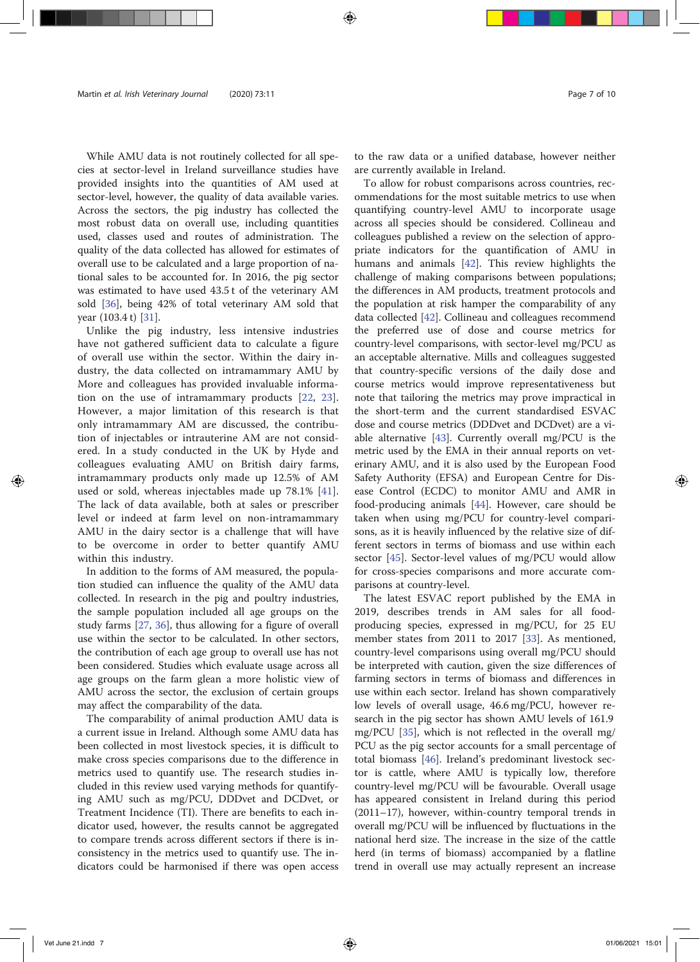While AMU data is not routinely collected for all species at sector-level in Ireland surveillance studies have provided insights into the quantities of AM used at sector-level, however, the quality of data available varies. Across the sectors, the pig industry has collected the most robust data on overall use, including quantities used, classes used and routes of administration. The quality of the data collected has allowed for estimates of overall use to be calculated and a large proportion of national sales to be accounted for. In 2016, the pig sector was estimated to have used 43.5 t of the veterinary AM sold [36], being 42% of total veterinary AM sold that year (103.4 t) [31].

Unlike the pig industry, less intensive industries have not gathered sufficient data to calculate a figure of overall use within the sector. Within the dairy industry, the data collected on intramammary AMU by More and colleagues has provided invaluable information on the use of intramammary products [22, 23]. However, a major limitation of this research is that only intramammary AM are discussed, the contribution of injectables or intrauterine AM are not considered. In a study conducted in the UK by Hyde and colleagues evaluating AMU on British dairy farms, intramammary products only made up 12.5% of AM used or sold, whereas injectables made up 78.1% [41]. The lack of data available, both at sales or prescriber level or indeed at farm level on non-intramammary AMU in the dairy sector is a challenge that will have to be overcome in order to better quantify AMU within this industry.

In addition to the forms of AM measured, the population studied can influence the quality of the AMU data collected. In research in the pig and poultry industries, the sample population included all age groups on the study farms [27, 36], thus allowing for a figure of overall use within the sector to be calculated. In other sectors, the contribution of each age group to overall use has not been considered. Studies which evaluate usage across all age groups on the farm glean a more holistic view of AMU across the sector, the exclusion of certain groups may affect the comparability of the data.

The comparability of animal production AMU data is a current issue in Ireland. Although some AMU data has been collected in most livestock species, it is difficult to make cross species comparisons due to the difference in metrics used to quantify use. The research studies included in this review used varying methods for quantifying AMU such as mg/PCU, DDDvet and DCDvet, or Treatment Incidence (TI). There are benefits to each indicator used, however, the results cannot be aggregated to compare trends across different sectors if there is inconsistency in the metrics used to quantify use. The indicators could be harmonised if there was open access to the raw data or a unified database, however neither are currently available in Ireland.

To allow for robust comparisons across countries, recommendations for the most suitable metrics to use when quantifying country-level AMU to incorporate usage across all species should be considered. Collineau and colleagues published a review on the selection of appropriate indicators for the quantification of AMU in humans and animals [42]. This review highlights the challenge of making comparisons between populations; the differences in AM products, treatment protocols and the population at risk hamper the comparability of any data collected [42]. Collineau and colleagues recommend the preferred use of dose and course metrics for country-level comparisons, with sector-level mg/PCU as an acceptable alternative. Mills and colleagues suggested that country-specific versions of the daily dose and course metrics would improve representativeness but note that tailoring the metrics may prove impractical in the short-term and the current standardised ESVAC dose and course metrics (DDDvet and DCDvet) are a viable alternative [43]. Currently overall mg/PCU is the metric used by the EMA in their annual reports on veterinary AMU, and it is also used by the European Food Safety Authority (EFSA) and European Centre for Disease Control (ECDC) to monitor AMU and AMR in food-producing animals [44]. However, care should be taken when using mg/PCU for country-level comparisons, as it is heavily influenced by the relative size of different sectors in terms of biomass and use within each sector [45]. Sector-level values of mg/PCU would allow for cross-species comparisons and more accurate comparisons at country-level.

The latest ESVAC report published by the EMA in 2019, describes trends in AM sales for all foodproducing species, expressed in mg/PCU, for 25 EU member states from 2011 to 2017 [33]. As mentioned, country-level comparisons using overall mg/PCU should be interpreted with caution, given the size differences of farming sectors in terms of biomass and differences in use within each sector. Ireland has shown comparatively low levels of overall usage, 46.6 mg/PCU, however research in the pig sector has shown AMU levels of 161.9 mg/PCU [35], which is not reflected in the overall mg/ PCU as the pig sector accounts for a small percentage of total biomass [46]. Ireland's predominant livestock sector is cattle, where AMU is typically low, therefore country-level mg/PCU will be favourable. Overall usage has appeared consistent in Ireland during this period (2011–17), however, within-country temporal trends in overall mg/PCU will be influenced by fluctuations in the national herd size. The increase in the size of the cattle herd (in terms of biomass) accompanied by a flatline trend in overall use may actually represent an increase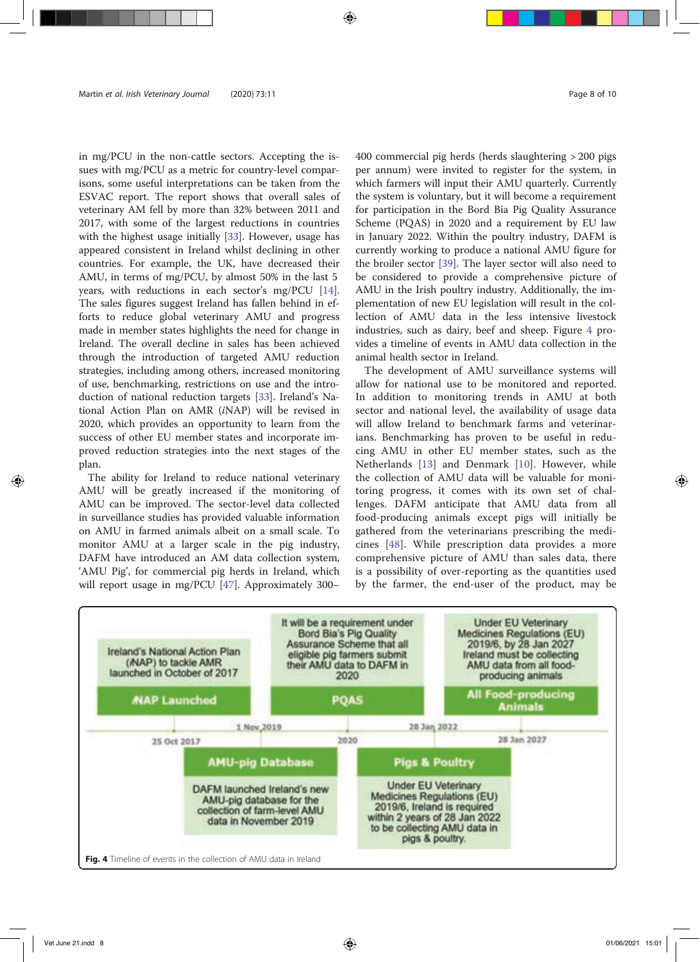in mg/PCU in the non-cattle sectors. Accepting the issues with mg/PCU as a metric for country-level comparisons, some useful interpretations can be taken from the ESVAC report. The report shows that overall sales of veterinary AM fell by more than 32% between 2011 and 2017, with some of the largest reductions in countries with the highest usage initially [33]. However, usage has appeared consistent in Ireland whilst declining in other countries. For example, the UK, have decreased their AMU, in terms of mg/PCU, by almost 50% in the last 5 years, with reductions in each sector's mg/PCU [14]. The sales figures suggest Ireland has fallen behind in efforts to reduce global veterinary AMU and progress made in member states highlights the need for change in Ireland. The overall decline in sales has been achieved through the introduction of targeted AMU reduction strategies, including among others, increased monitoring of use, benchmarking, restrictions on use and the introduction of national reduction targets [33]. Ireland's National Action Plan on AMR (iNAP) will be revised in 2020, which provides an opportunity to learn from the success of other EU member states and incorporate improved reduction strategies into the next stages of the plan.

The ability for Ireland to reduce national veterinary AMU will be greatly increased if the monitoring of AMU can be improved. The sector-level data collected in surveillance studies has provided valuable information on AMU in farmed animals albeit on a small scale. To monitor AMU at a larger scale in the pig industry, DAFM have introduced an AM data collection system, 'AMU Pig', for commercial pig herds in Ireland, which will report usage in mg/PCU [47]. Approximately 300–

400 commercial pig herds (herds slaughtering > 200 pigs per annum) were invited to register for the system, in which farmers will input their AMU quarterly. Currently the system is voluntary, but it will become a requirement for participation in the Bord Bia Pig Quality Assurance Scheme (PQAS) in 2020 and a requirement by EU law in January 2022. Within the poultry industry, DAFM is currently working to produce a national AMU figure for the broiler sector [39]. The layer sector will also need to be considered to provide a comprehensive picture of AMU in the Irish poultry industry. Additionally, the implementation of new EU legislation will result in the collection of AMU data in the less intensive livestock industries, such as dairy, beef and sheep. Figure 4 provides a timeline of events in AMU data collection in the animal health sector in Ireland.

The development of AMU surveillance systems will allow for national use to be monitored and reported. In addition to monitoring trends in AMU at both sector and national level, the availability of usage data will allow Ireland to benchmark farms and veterinarians. Benchmarking has proven to be useful in reducing AMU in other EU member states, such as the Netherlands [13] and Denmark [10]. However, while the collection of AMU data will be valuable for monitoring progress, it comes with its own set of challenges. DAFM anticipate that AMU data from all food-producing animals except pigs will initially be gathered from the veterinarians prescribing the medicines [48]. While prescription data provides a more comprehensive picture of AMU than sales data, there is a possibility of over-reporting as the quantities used by the farmer, the end-user of the product, may be

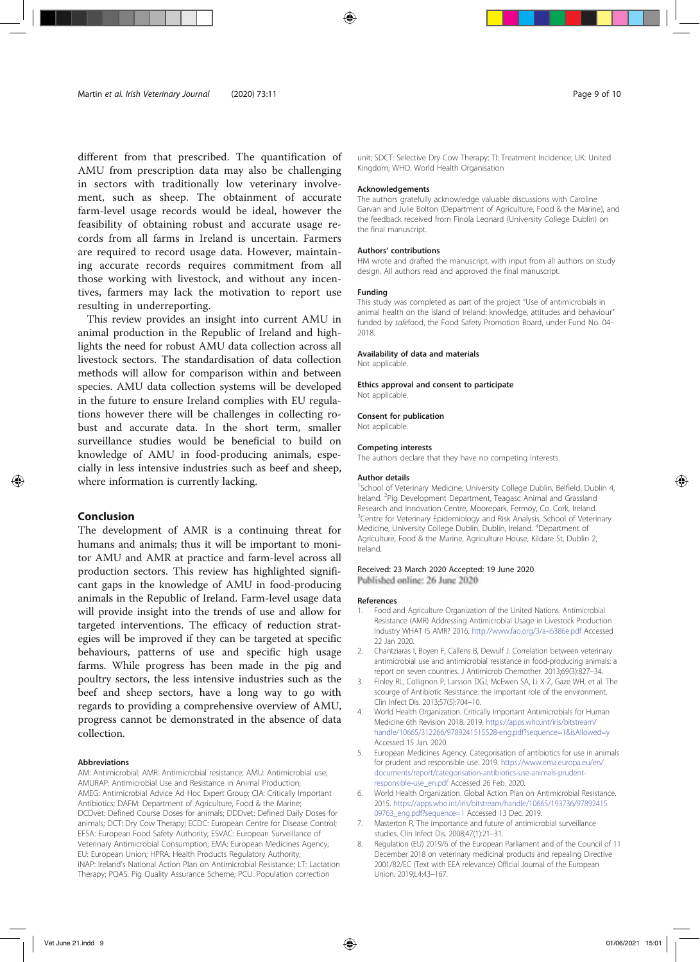different from that prescribed. The quantification of AMU from prescription data may also be challenging in sectors with traditionally low veterinary involvement, such as sheep. The obtainment of accurate farm-level usage records would be ideal, however the feasibility of obtaining robust and accurate usage records from all farms in Ireland is uncertain. Farmers are required to record usage data. However, maintaining accurate records requires commitment from all those working with livestock, and without any incentives, farmers may lack the motivation to report use resulting in underreporting.

This review provides an insight into current AMU in animal production in the Republic of Ireland and highlights the need for robust AMU data collection across all livestock sectors. The standardisation of data collection methods will allow for comparison within and between species. AMU data collection systems will be developed in the future to ensure Ireland complies with EU regulations however there will be challenges in collecting robust and accurate data. In the short term, smaller surveillance studies would be beneficial to build on knowledge of AMU in food-producing animals, especially in less intensive industries such as beef and sheep, where information is currently lacking.

# Conclusion

The development of AMR is a continuing threat for humans and animals; thus it will be important to monitor AMU and AMR at practice and farm-level across all production sectors. This review has highlighted significant gaps in the knowledge of AMU in food-producing animals in the Republic of Ireland. Farm-level usage data will provide insight into the trends of use and allow for targeted interventions. The efficacy of reduction strategies will be improved if they can be targeted at specific behaviours, patterns of use and specific high usage farms. While progress has been made in the pig and poultry sectors, the less intensive industries such as the beef and sheep sectors, have a long way to go with regards to providing a comprehensive overview of AMU, progress cannot be demonstrated in the absence of data collection.

#### Abbreviations

AM: Antimicrobial; AMR: Antimicrobial resistance; AMU: Antimicrobial use; AMURAP: Antimicrobial Use and Resistance in Animal Production; AMEG: Antimicrobial Advice Ad Hoc Expert Group; CIA: Critically Important Antibiotics; DAFM: Department of Agriculture, Food & the Marine; DCDvet: Defined Course Doses for animals; DDDvet: Defined Daily Doses for animals; DCT: Dry Cow Therapy; ECDC: European Centre for Disease Control; EFSA: European Food Safety Authority; ESVAC: European Surveillance of Veterinary Antimicrobial Consumption; EMA: European Medicines Agency; EU: European Union; HPRA: Health Products Regulatory Authority; iNAP: Ireland's National Action Plan on Antimicrobial Resistance; LT: Lactation Therapy; PQAS: Pig Quality Assurance Scheme; PCU: Population correction

unit; SDCT: Selective Dry Cow Therapy; TI: Treatment Incidence; UK: United Kingdom; WHO: World Health Organisation

#### Acknowledgements

The authors gratefully acknowledge valuable discussions with Caroline Garvan and Julie Bolton (Department of Agriculture, Food & the Marine), and the feedback received from Finola Leonard (University College Dublin) on the final manuscript.

#### Authors' contributions

HM wrote and drafted the manuscript, with input from all authors on study design. All authors read and approved the final manuscript.

#### Funding

This study was completed as part of the project "Use of antimicrobials in animal health on the island of Ireland: knowledge, attitudes and behaviour" funded by safefood, the Food Safety Promotion Board, under Fund No. 04– 2018.

#### Availability of data and materials

Not applicable.

#### Ethics approval and consent to participate

Not applicable.

#### Consent for publication

Not applicable.

#### Competing interests

The authors declare that they have no competing interests.

#### Author details

<sup>1</sup>School of Veterinary Medicine, University College Dublin, Belfield, Dublin 4, Ireland. <sup>2</sup>Pig Development Department, Teagasc Animal and Grassland Research and Innovation Centre, Moorepark, Fermoy, Co. Cork, Ireland. <sup>3</sup>Centre for Veterinary Epidemiology and Risk Analysis, School of Veterinary Medicine, University College Dublin, Dublin, Ireland. <sup>4</sup>Department of Agriculture, Food & the Marine, Agriculture House, Kildare St, Dublin 2, Ireland.

#### Received: 23 March 2020 Accepted: 19 June 2020 Published online: 26 June 2020

#### References

- 1. Food and Agriculture Organization of the United Nations. Antimicrobial Resistance (AMR) Addressing Antimicrobial Usage in Livestock Production Industry WHAT IS AMR? 2016. http://www.fao.org/3/a-i6386e.pdf Accessed 22 Jan 2020.
- 2. Chantziaras I, Boyen F, Callens B, Dewulf J. Correlation between veterinary antimicrobial use and antimicrobial resistance in food-producing animals: a report on seven countries. J Antimicrob Chemother. 2013;69(3):827–34.
- 3. Finley RL, Collignon P, Larsson DGJ, McEwen SA, Li X-Z, Gaze WH, et al. The scourge of Antibiotic Resistance: the important role of the environment. Clin Infect Dis. 2013;57(5):704–10.
- 4. World Health Organization. Critically Important Antimicrobials for Human Medicine 6th Revision 2018. 2019. https://apps.who.int/iris/bitstream/ handle/10665/312266/9789241515528-eng.pdf?sequence=1&isAllowed=y Accessed 15 Jan. 2020.
- 5. European Medicines Agency. Categorisation of antibiotics for use in animals for prudent and responsible use. 2019. https://www.ema.europa.eu/en/ documents/report/categorisation-antibiotics-use-animals-prudentresponsible-use\_en.pdf Accessed 26 Feb. 2020.
- 6. World Health Organization. Global Action Plan on Antimicrobial Resistance. 2015. https://apps.who.int/iris/bitstream/handle/10665/193736/97892415 09763\_eng.pdf?sequence=1 Accessed 13 Dec. 2019.
- 7. Masterton R. The importance and future of antimicrobial surveillance studies. Clin Infect Dis. 2008;47(1):21–31.
- 8. Regulation (EU) 2019/6 of the European Parliament and of the Council of 11 December 2018 on veterinary medicinal products and repealing Directive 2001/82/EC (Text with EEA relevance) Official Journal of the European Union. 2019;L4:43-167.